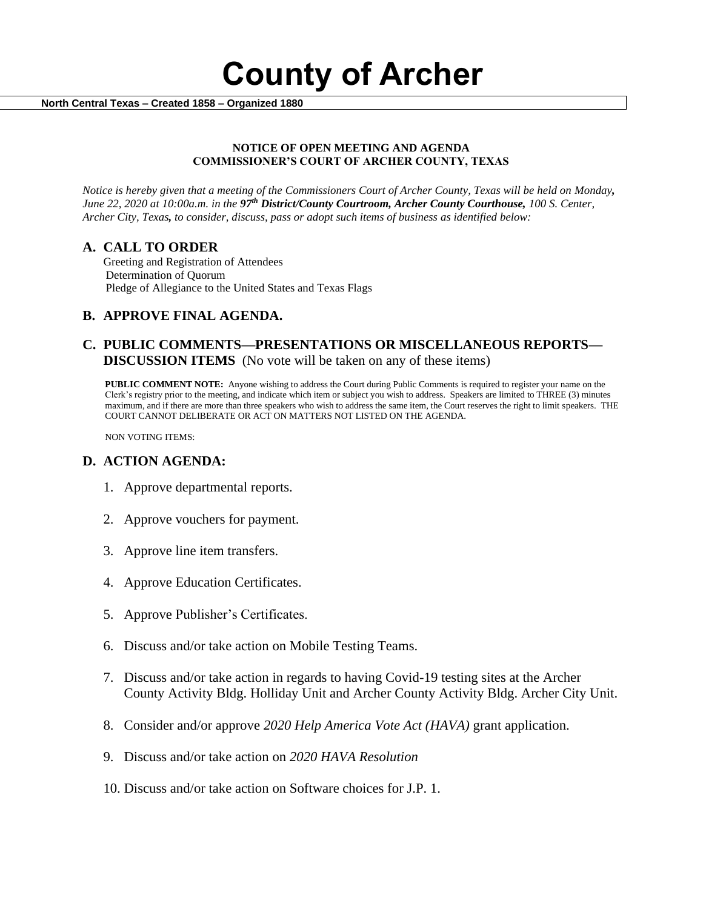**County of Archer** 

 **North Central Texas – Created 1858 – Organized 1880**

### **NOTICE OF OPEN MEETING AND AGENDA COMMISSIONER'S COURT OF ARCHER COUNTY, TEXAS**

*Notice is hereby given that a meeting of the Commissioners Court of Archer County, Texas will be held on Monday, June 22, 2020 at 10:00a.m. in the 97th District/County Courtroom, Archer County Courthouse, 100 S. Center, Archer City, Texas, to consider, discuss, pass or adopt such items of business as identified below:*

## **A. CALL TO ORDER**

 Greeting and Registration of Attendees Determination of Quorum Pledge of Allegiance to the United States and Texas Flags

## **B. APPROVE FINAL AGENDA.**

## **C. PUBLIC COMMENTS—PRESENTATIONS OR MISCELLANEOUS REPORTS— DISCUSSION ITEMS** (No vote will be taken on any of these items)

**PUBLIC COMMENT NOTE:** Anyone wishing to address the Court during Public Comments is required to register your name on the Clerk's registry prior to the meeting, and indicate which item or subject you wish to address. Speakers are limited to THREE (3) minutes maximum, and if there are more than three speakers who wish to address the same item, the Court reserves the right to limit speakers. THE COURT CANNOT DELIBERATE OR ACT ON MATTERS NOT LISTED ON THE AGENDA.

NON VOTING ITEMS:

## **D. ACTION AGENDA:**

- 1. Approve departmental reports.
- 2. Approve vouchers for payment.
- 3. Approve line item transfers.
- 4. Approve Education Certificates.
- 5. Approve Publisher's Certificates.
- 6. Discuss and/or take action on Mobile Testing Teams.
- 7. Discuss and/or take action in regards to having Covid-19 testing sites at the Archer County Activity Bldg. Holliday Unit and Archer County Activity Bldg. Archer City Unit.
- 8. Consider and/or approve *2020 Help America Vote Act (HAVA)* grant application.
- 9. Discuss and/or take action on *2020 HAVA Resolution*
- 10. Discuss and/or take action on Software choices for J.P. 1.